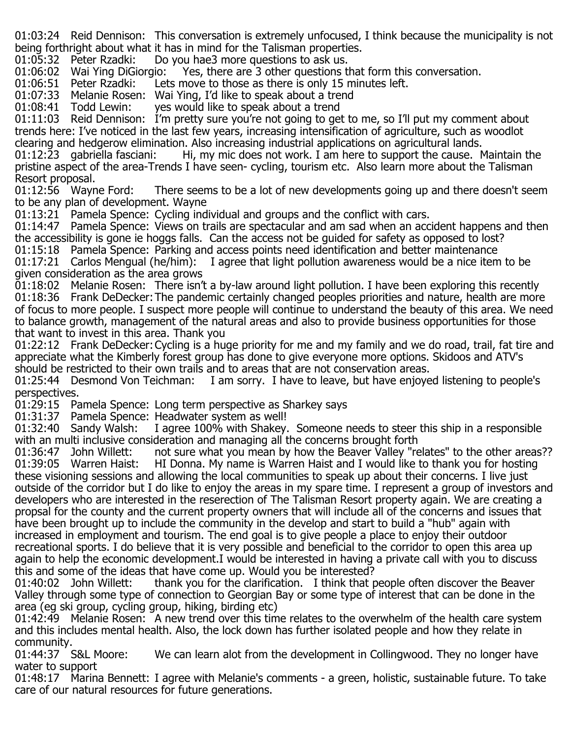01:03:24 Reid Dennison: This conversation is extremely unfocused, I think because the municipality is not being forthright about what it has in mind for the Talisman properties.<br>01:05:32 Peter Rzadki: Do you hae3 more questions to ask us.

01:05:32 Peter Rzadki: Do you hae3 more questions to ask us.<br>01:06:02 Wai Ying DiGiorgio: Yes, there are 3 other questions t 01:06:02 Wai Ying DiGiorgio: Yes, there are 3 other questions that form this conversation.<br>01:06:51 Peter Rzadki: Lets move to those as there is only 15 minutes left.

Lets move to those as there is only 15 minutes left.

01:07:33 Melanie Rosen: Wai Ying, I'd like to speak about a trend<br>01:08:41 Todd Lewin: ves would like to speak about a trend

yes would like to speak about a trend

01:11:03 Reid Dennison: I'm pretty sure you're not going to get to me, so I'll put my comment about trends here: I've noticed in the last few years, increasing intensification of agriculture, such as woodlot clearing and hedgerow elimination. Also increasing industrial applications on agricultural lands.<br>01:12:23 gabriella fasciani: Thi, my mic does not work. I am here to support the cause. I

Hi, my mic does not work. I am here to support the cause. Maintain the pristine aspect of the area-Trends I have seen- cycling, tourism etc. Also learn more about the Talisman Resort proposal.<br>01:12:56 Wavne Ford:

There seems to be a lot of new developments going up and there doesn't seem to be any plan of development. Wayne

01:13:21 Pamela Spence: Cycling individual and groups and the conflict with cars.

01:14:47 Pamela Spence: Views on trails are spectacular and am sad when an accident happens and then the accessibility is gone ie hoggs falls. Can the access not be guided for safety as opposed to lost?

01:15:18 Pamela Spence: Parking and access points need identification and better maintenance 01:17:21 Carlos Mengual (he/him): I agree that light pollution awareness would be a nice item to be given consideration as the area grows

01:18:02 Melanie Rosen: There isn't a by-law around light pollution. I have been exploring this recently 01:18:36 Frank DeDecker:The pandemic certainly changed peoples priorities and nature, health are more of focus to more people. I suspect more people will continue to understand the beauty of this area. We need to balance growth, management of the natural areas and also to provide business opportunities for those that want to invest in this area. Thank you

01:22:12 Frank DeDecker:Cycling is a huge priority for me and my family and we do road, trail, fat tire and appreciate what the Kimberly forest group has done to give everyone more options. Skidoos and ATV's should be restricted to their own trails and to areas that are not conservation areas.

01:25:44 Desmond Von Teichman: I am sorry. I have to leave, but have enjoyed listening to people's perspectives.

01:29:15 Pamela Spence: Long term perspective as Sharkey says

01:31:37 Pamela Spence: Headwater system as well!<br>01:32:40 Sandy Walsh: I agree 100% with Shakey.

I agree 100% with Shakey. Someone needs to steer this ship in a responsible with an multi inclusive consideration and managing all the concerns brought forth<br>01:36:47 John Willett: not sure what you mean by how the Beaver Valley "re

01:36:47 John Willett: not sure what you mean by how the Beaver Valley "relates" to the other areas??<br>01:39:05 Warren Haist: HI Donna. My name is Warren Haist and I would like to thank you for hosting HI Donna. My name is Warren Haist and I would like to thank you for hosting these visioning sessions and allowing the local communities to speak up about their concerns. I live just outside of the corridor but I do like to enjoy the areas in my spare time. I represent a group of investors and developers who are interested in the reserection of The Talisman Resort property again. We are creating a propsal for the county and the current property owners that will include all of the concerns and issues that have been brought up to include the community in the develop and start to build a "hub" again with increased in employment and tourism. The end goal is to give people a place to enjoy their outdoor recreational sports. I do believe that it is very possible and beneficial to the corridor to open this area up again to help the economic development.I would be interested in having a private call with you to discuss this and some of the ideas that have come up. Would you be interested?<br>01:40:02 John Willett: thank you for the clarification. I think that r

thank you for the clarification. I think that people often discover the Beaver Valley through some type of connection to Georgian Bay or some type of interest that can be done in the area (eg ski group, cycling group, hiking, birding etc)

01:42:49 Melanie Rosen: A new trend over this time relates to the overwhelm of the health care system and this includes mental health. Also, the lock down has further isolated people and how they relate in community.<br>01:44:37 S&L Moore:

We can learn alot from the development in Collingwood. They no longer have water to support

01:48:17 Marina Bennett: I agree with Melanie's comments - a green, holistic, sustainable future. To take care of our natural resources for future generations.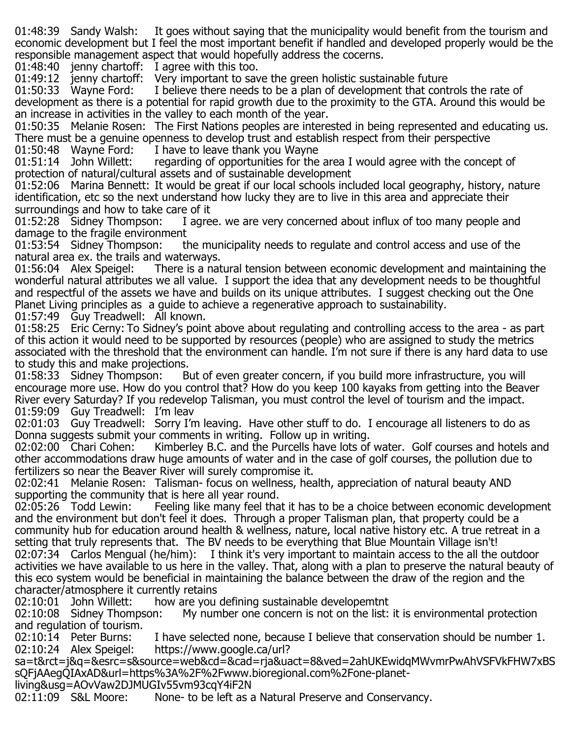01:48:39 Sandy Walsh: It goes without saying that the municipality would benefit from the tourism and economic development but I feel the most important benefit if handled and developed properly would be the responsible management aspect that would hopefully address the cocerns.

01:48:40 jenny chartoff: I agree with this too.

01:49:12 jenny chartoff: Very important to save the green holistic sustainable future<br>01:50:33 Wavne Ford: I believe there needs to be a plan of development that cont

I believe there needs to be a plan of development that controls the rate of development as there is a potential for rapid growth due to the proximity to the GTA. Around this would be an increase in activities in the valley to each month of the year.

01:50:35 Melanie Rosen: The First Nations peoples are interested in being represented and educating us. There must be a genuine openness to develop trust and establish respect from their perspective<br>01:50:48 Wavne Ford: Thave to leave thank vou Wavne

01:50:48 Wayne Ford: I have to leave thank you Wayne<br>01:51:14 John Willett: regarding of opportunities for the regarding of opportunities for the area I would agree with the concept of protection of natural/cultural assets and of sustainable development

01:52:06 Marina Bennett: It would be great if our local schools included local geography, history, nature identification, etc so the next understand how lucky they are to live in this area and appreciate their

surroundings and how to take care of it<br>01:52:28 Sidney Thompson: I agre I agree. we are very concerned about influx of too many people and

damage to the fragile environment<br>01:53:54 Sidney Thompson: tl the municipality needs to regulate and control access and use of the natural area ex. the trails and waterways.

There is a natural tension between economic development and maintaining the wonderful natural attributes we all value. I support the idea that any development needs to be thoughtful and respectful of the assets we have and builds on its unique attributes. I suggest checking out the One Planet Living principles as a guide to achieve a regenerative approach to sustainability.

01:57:49 Guy Treadwell: All known.

01:58:25 Eric Cerny: To Sidney's point above about regulating and controlling access to the area - as part of this action it would need to be supported by resources (people) who are assigned to study the metrics associated with the threshold that the environment can handle. I'm not sure if there is any hard data to use to study this and make projections.<br>01:58:33 Sidney Thompson: B

But of even greater concern, if you build more infrastructure, you will encourage more use. How do you control that? How do you keep 100 kayaks from getting into the Beaver River every Saturday? If you redevelop Talisman, you must control the level of tourism and the impact. 01:59:09 Guy Treadwell: I'm leav

02:01:03 Guy Treadwell: Sorry I'm leaving. Have other stuff to do. I encourage all listeners to do as Donna suggests submit your comments in writing. Follow up in writing.<br>02:02:00 Chari Cohen: Kimberley B.C. and the Purcells have lots of

Kimberley B.C. and the Purcells have lots of water. Golf courses and hotels and other accommodations draw huge amounts of water and in the case of golf courses, the pollution due to fertilizers so near the Beaver River will surely compromise it.

02:02:41 Melanie Rosen: Talisman- focus on wellness, health, appreciation of natural beauty AND supporting the community that is here all year round.<br>02:05:26 Todd Lewin: Feeling like many feel tha

Feeling like many feel that it has to be a choice between economic development and the environment but don't feel it does. Through a proper Talisman plan, that property could be a community hub for education around health & wellness, nature, local native history etc. A true retreat in a setting that truly represents that. The BV needs to be everything that Blue Mountain Village isn't! 02:07:34 Carlos Mengual (he/him): I think it's very important to maintain access to the all the outdoor activities we have available to us here in the valley. That, along with a plan to preserve the natural beauty of this eco system would be beneficial in maintaining the balance between the draw of the region and the character/atmosphere it currently retains<br>02:10:01 John Willett: how are you

how are you defining sustainable developemtnt

02:10:08 Sidney Thompson: My number one concern is not on the list: it is environmental protection and regulation of tourism.<br>02:10:14 Peter Burns:

02:10:14 Peter Burns: I have selected none, because I believe that conservation should be number 1.<br>02:10:24 Alex Speigel: https://www.google.ca/url? https://www.google.ca/url?

sa=t&rct=j&q=&esrc=s&source=web&cd=&cad=rja&uact=8&ved=2ahUKEwidqMWvmrPwAhVSFVkFHW7xBS sQFjAAegQIAxAD&url=https%3A%2F%2Fwww.bioregional.com%2Fone-planet-

living&usg=AOvVaw2DJMUGIv55vm93cqY4iF2N

None- to be left as a Natural Preserve and Conservancy.